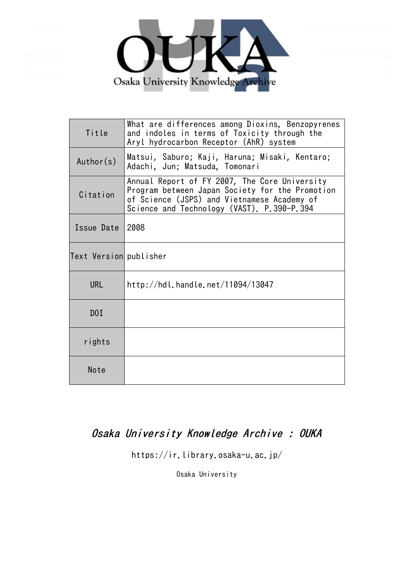

| Title                  | What are differences among Dioxins, Benzopyrenes<br>and indoles in terms of Toxicity through the<br>Aryl hydrocarbon Receptor (AhR) system                                                    |
|------------------------|-----------------------------------------------------------------------------------------------------------------------------------------------------------------------------------------------|
| Author(s)              | Matsui, Saburo; Kaji, Haruna; Misaki, Kentaro;<br>Adachi, Jun; Matsuda, Tomonari                                                                                                              |
| Citation               | Annual Report of FY 2007, The Core University<br>Program between Japan Society for the Promotion<br>of Science (JSPS) and Vietnamese Academy of<br>Science and Technology (VAST). P.390-P.394 |
| Issue Date             | 2008                                                                                                                                                                                          |
| Text Version publisher |                                                                                                                                                                                               |
| <b>URL</b>             | http://hdl.handle.net/11094/13047                                                                                                                                                             |
| D0I                    |                                                                                                                                                                                               |
| rights                 |                                                                                                                                                                                               |
| Note                   |                                                                                                                                                                                               |

# Osaka University Knowledge Archive : OUKA

https://ir.library.osaka-u.ac.jp/

Osaka University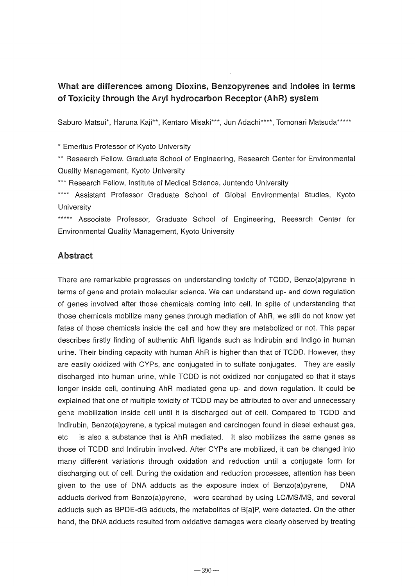## What are differences among Dioxins, Benzopyrenes and Indoles in terms of Toxicity through the Aryl hydrocarbon Receptor (AhR) system

Saburo Matsui\*, Haruna Kaji\*\*, Kentaro Misaki\*\*\*, Jun Adachi\*\*\*\*, Tomonari Matsuda\*\*\*\*\*

\* Emeritus Professor of Kyoto University

\*\* Research Fellow, Graduate School of Engineering, Research Center for Environmental Quality Management, Kyoto University

\*\*\* Research Fellow, Institute of Medical Science, Juntendo University

\*\*\*\* Assistant Professor Graduate School of Global Environmental Studies, Kyoto **University** 

\*\*\*\*\* Associate Professor, Graduate School of Engineering, Research Center for Environmental Quality Management, Kyoto University

#### **Abstract**

There are remarkable progresses on understanding toxicity of TCDD, Benzo(a)pyrene in terms of gene and protein molecular science. We can understand up- and down regulation of genes involved after those chemicals coming into cell. In spite of understanding that those chemicals mobilize many genes through mediation of AhR, we still do not know yet fates of those chemicals inside the cell and how they are metabolized or not. This paper describes firstly finding of authentic AhR ligands such as Indirubin and Indigo in human urine. Their binding capacity with human AhR is higher than that of TCDD. However, they are easily oxidized with CYPs, and conjugated in to sulfate conjugates. They are easily discharged into human urine, while TCDD is not oxidized nor conjugated so that it stays longer inside cell, continuing AhR mediated gene up- and down regulation. It could be explained that one of multiple toxicity of TCDD may be attributed to over and unnecessary gene mobilization inside cell until it is discharged out of cell. Compared to TCDD and Indirubin, Benzo(a)pyrene, a typical mutagen and carcinogen found in diesel exhaust gas, etc is also a substance that is AhR mediated. It also mobilizes the same genes as those of TCDD and Indirubin involved. After CYPs are mobilized, it can be changed into many different variations through oxidation and reduction until a conjugate form for discharging out of cell. During the oxidation and reduction processes, attention has been given to the use of DNA adducts as the exposure index of Benzo(a)pyrene, DNA adducts derived from Benzo(a)pyrene, were searched by using LC/MS/MS, and several adducts such as BPDE-dG adducts, the metabolites of B[a]P, were detected. On the other hand, the DNA adducts resulted from oxidative damages were clearly observed by treating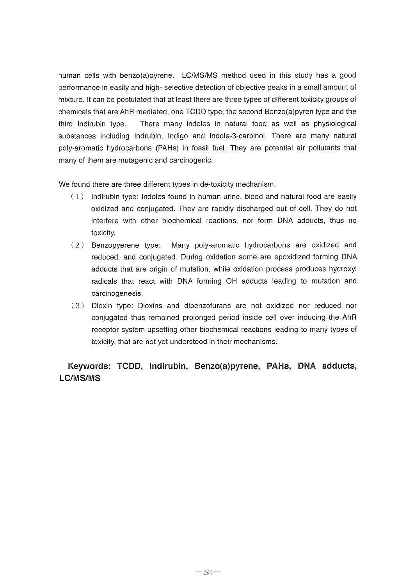human cells with benzo(a)pyrene. LC/MS/MS method used in this study has a good performance in easily and high- selective detection of objective peaks in a small amount of mixture. It can be postulated that at least there are three types of different toxicity groups of chemicals that are AhR mediated, one TCDD type, the second Benzo(a)pyren type and the third Indirubin type. There many indoles in natural food as well as physiological substances including Indrubin, Indigo and Indole-3-carbinol. There are many natural poly-aromatic hydrocarbons (PAHs) in fossil fuel. They are potential air pollutants that many of them are mutagenic and carcinogenic.

We found there are three different types in de-toxicity mechanism.

- $(1)$  Indirubin type: Indoles found in human urine, blood and natural food are easily oxidized and conjugated. They are rapidly discharged out of cell. They do not interfere with other biochemical reactions, nor form DNA adducts, thus no toxicity.
- ( 2 ) Benzopyerene type: Many poly-aromatic hydrocarbons are oxidized and reduced, and conjugated. During oxidation some are epoxidized forming DNA adducts that are origin of mutation, while oxidation process produces hydroxyl radicals that react with DNA forming OH adducts leading to mutation and carcinogenesis.
- ( 3 ) Dioxin type: Dioxins and dibenzofurans are not oxidized nor reduced nor conjugated thus remained prolonged period inside cell over inducing the AhR receptor system upsetting other biochemical reactions leading to many types of toxicity, that are not yet understood in their mechanisms.

### **Keywords: TCDD, Indirubin, Benzo(a)pyrene, PAHs, DNA adducts, LC/MSIMS**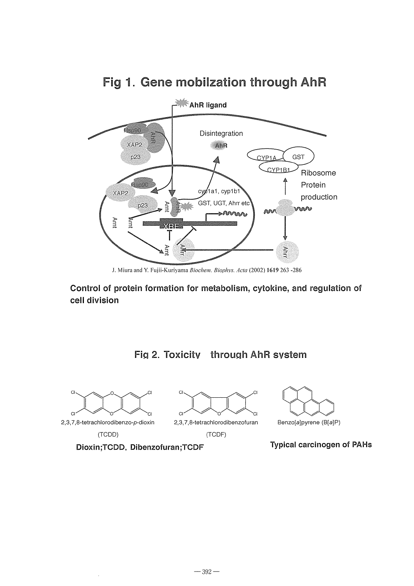

## Fig 1. Gene mobilzation through AhR

.1. Miura and Y. Fuiii-Kuriyama *Biochell1. Biophys. Acta* (2002) **1619263** -286

**Control of protein formation for metabolism, cytokine, and regulation of cell division** 

FiQ **2.** Toxicity throuQh AhR system







8enzo[a]pyrene (8[a]P)

2,3,7,8-tetrachlorodibenzofuran (TCDD) (TCDF)

**Dioxin;TCDD. Dibenzofuran;TCDF Typical carcinogen of PAHs**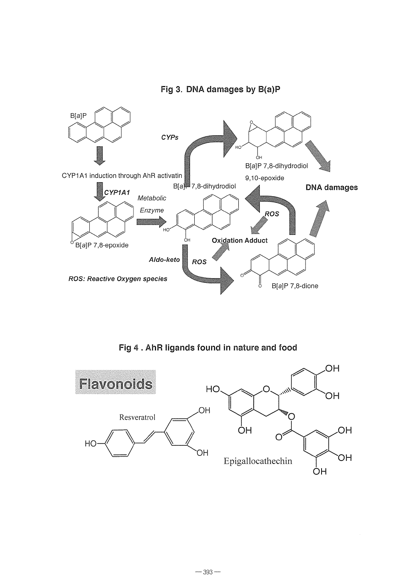



Fig 4 . AhR ligands found in nature and **food**